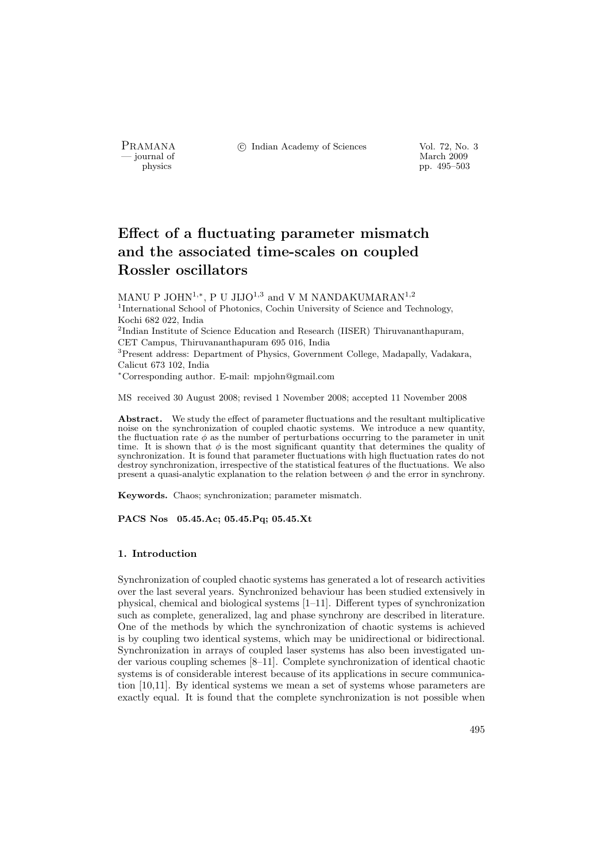PRAMANA <sup>©</sup>© Indian Academy of Sciences Vol. 72, No. 3<br>
— journal of March 2009

position of the matrix of the matrix of the March 2009 pp. 495–503 pp. 495–503

# Effect of a fluctuating parameter mismatch and the associated time-scales on coupled Rossler oscillators

MANU P JOHN $^{1,\ast},$  P U JIJO $^{1,3}$  and V M NANDAKUMARAN $^{1,2}$ <sup>1</sup>International School of Photonics, Cochin University of Science and Technology, Kochi 682 022, India <sup>2</sup>Indian Institute of Science Education and Research (IISER) Thiruvananthapuram, CET Campus, Thiruvananthapuram 695 016, India <sup>3</sup>Present address: Department of Physics, Government College, Madapally, Vadakara, Calicut 673 102, India <sup>∗</sup>Corresponding author. E-mail: mpjohn@gmail.com

MS received 30 August 2008; revised 1 November 2008; accepted 11 November 2008

Abstract. We study the effect of parameter fluctuations and the resultant multiplicative noise on the synchronization of coupled chaotic systems. We introduce a new quantity, the fluctuation rate  $\phi$  as the number of perturbations occurring to the parameter in unit time. It is shown that  $\phi$  is the most significant quantity that determines the quality of synchronization. It is found that parameter fluctuations with high fluctuation rates do not destroy synchronization, irrespective of the statistical features of the fluctuations. We also present a quasi-analytic explanation to the relation between  $\phi$  and the error in synchrony.

Keywords. Chaos; synchronization; parameter mismatch.

PACS Nos 05.45.Ac; 05.45.Pq; 05.45.Xt

## 1. Introduction

Synchronization of coupled chaotic systems has generated a lot of research activities over the last several years. Synchronized behaviour has been studied extensively in physical, chemical and biological systems [1–11]. Different types of synchronization such as complete, generalized, lag and phase synchrony are described in literature. One of the methods by which the synchronization of chaotic systems is achieved is by coupling two identical systems, which may be unidirectional or bidirectional. Synchronization in arrays of coupled laser systems has also been investigated under various coupling schemes [8–11]. Complete synchronization of identical chaotic systems is of considerable interest because of its applications in secure communication [10,11]. By identical systems we mean a set of systems whose parameters are exactly equal. It is found that the complete synchronization is not possible when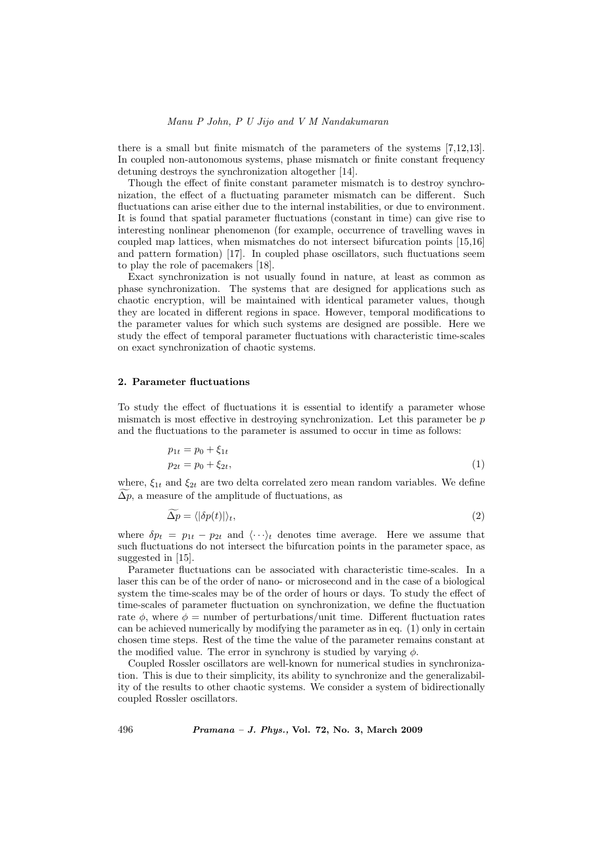there is a small but finite mismatch of the parameters of the systems [7,12,13]. In coupled non-autonomous systems, phase mismatch or finite constant frequency detuning destroys the synchronization altogether [14].

Though the effect of finite constant parameter mismatch is to destroy synchronization, the effect of a fluctuating parameter mismatch can be different. Such fluctuations can arise either due to the internal instabilities, or due to environment. It is found that spatial parameter fluctuations (constant in time) can give rise to interesting nonlinear phenomenon (for example, occurrence of travelling waves in coupled map lattices, when mismatches do not intersect bifurcation points [15,16] and pattern formation) [17]. In coupled phase oscillators, such fluctuations seem to play the role of pacemakers [18].

Exact synchronization is not usually found in nature, at least as common as phase synchronization. The systems that are designed for applications such as chaotic encryption, will be maintained with identical parameter values, though they are located in different regions in space. However, temporal modifications to the parameter values for which such systems are designed are possible. Here we study the effect of temporal parameter fluctuations with characteristic time-scales on exact synchronization of chaotic systems.

### 2. Parameter fluctuations

To study the effect of fluctuations it is essential to identify a parameter whose mismatch is most effective in destroying synchronization. Let this parameter be  $p$ and the fluctuations to the parameter is assumed to occur in time as follows:

$$
p_{1t} = p_0 + \xi_{1t} p_{2t} = p_0 + \xi_{2t},
$$
 (1)

where,  $\xi_{1t}$  and  $\xi_{2t}$  are two delta correlated zero mean random variables. We define  $\Delta p$ , a measure of the amplitude of fluctuations, as

$$
\widetilde{\Delta p} = \langle |\delta p(t)| \rangle_t,\tag{2}
$$

where  $\delta p_t = p_{1t} - p_{2t}$  and  $\langle \cdots \rangle_t$  denotes time average. Here we assume that such fluctuations do not intersect the bifurcation points in the parameter space, as suggested in [15].

Parameter fluctuations can be associated with characteristic time-scales. In a laser this can be of the order of nano- or microsecond and in the case of a biological system the time-scales may be of the order of hours or days. To study the effect of time-scales of parameter fluctuation on synchronization, we define the fluctuation rate  $\phi$ , where  $\phi$  = number of perturbations/unit time. Different fluctuation rates can be achieved numerically by modifying the parameter as in eq. (1) only in certain chosen time steps. Rest of the time the value of the parameter remains constant at the modified value. The error in synchrony is studied by varying  $\phi$ .

Coupled Rossler oscillators are well-known for numerical studies in synchronization. This is due to their simplicity, its ability to synchronize and the generalizability of the results to other chaotic systems. We consider a system of bidirectionally coupled Rossler oscillators.

496 Pramana – J. Phys., Vol. 72, No. 3, March 2009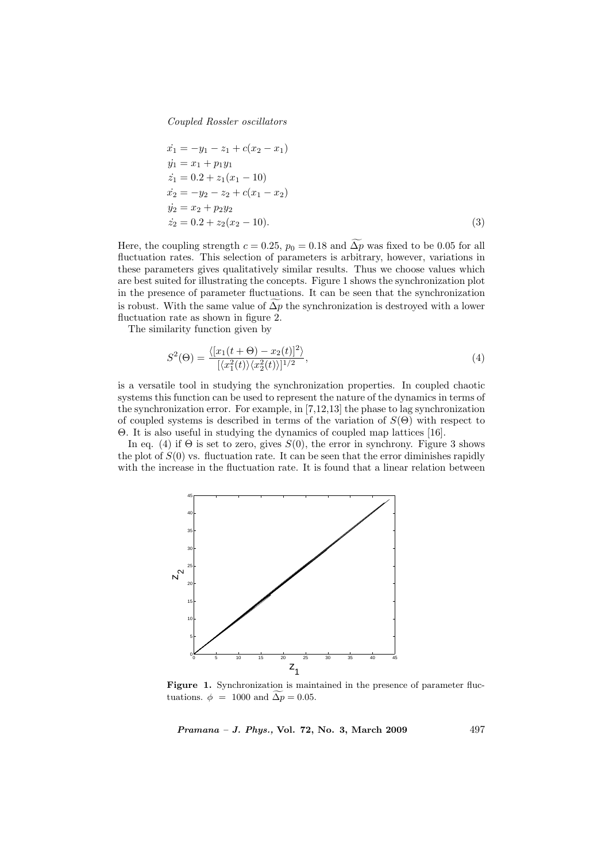Coupled Rossler oscillators

$$
\begin{aligned}\n\dot{x}_1 &= -y_1 - z_1 + c(x_2 - x_1) \\
\dot{y}_1 &= x_1 + p_1 y_1 \\
\dot{z}_1 &= 0.2 + z_1(x_1 - 10) \\
\dot{x}_2 &= -y_2 - z_2 + c(x_1 - x_2) \\
\dot{y}_2 &= x_2 + p_2 y_2 \\
\dot{z}_2 &= 0.2 + z_2(x_2 - 10).\n\end{aligned} \tag{3}
$$

Here, the coupling strength  $c = 0.25$ ,  $p_0 = 0.18$  and  $\widetilde{\Delta p}$  was fixed to be 0.05 for all fluctuation rates. This selection of parameters is arbitrary, however, variations in these parameters gives qualitatively similar results. Thus we choose values which are best suited for illustrating the concepts. Figure 1 shows the synchronization plot in the presence of parameter fluctuations. It can be seen that the synchronization is robust. With the same value of  $\Delta p$  the synchronization is destroyed with a lower fluctuation rate as shown in figure 2.

The similarity function given by

$$
S^{2}(\Theta) = \frac{\langle [x_{1}(t+\Theta) - x_{2}(t)]^{2} \rangle}{[\langle x_{1}^{2}(t) \rangle \langle x_{2}^{2}(t) \rangle]^{1/2}},
$$
\n(4)

is a versatile tool in studying the synchronization properties. In coupled chaotic systems this function can be used to represent the nature of the dynamics in terms of the synchronization error. For example, in [7,12,13] the phase to lag synchronization of coupled systems is described in terms of the variation of  $S(\Theta)$  with respect to Θ. It is also useful in studying the dynamics of coupled map lattices [16].

In eq. (4) if  $\Theta$  is set to zero, gives  $S(0)$ , the error in synchrony. Figure 3 shows the plot of  $S(0)$  vs. fluctuation rate. It can be seen that the error diminishes rapidly with the increase in the fluctuation rate. It is found that a linear relation between



Figure 1. Synchronization is maintained in the presence of parameter fluctuations.  $\phi = 1000$  and  $\widetilde{\Delta p} = 0.05$ .

Pramana – J. Phys., Vol. 72, No. 3, March 2009 497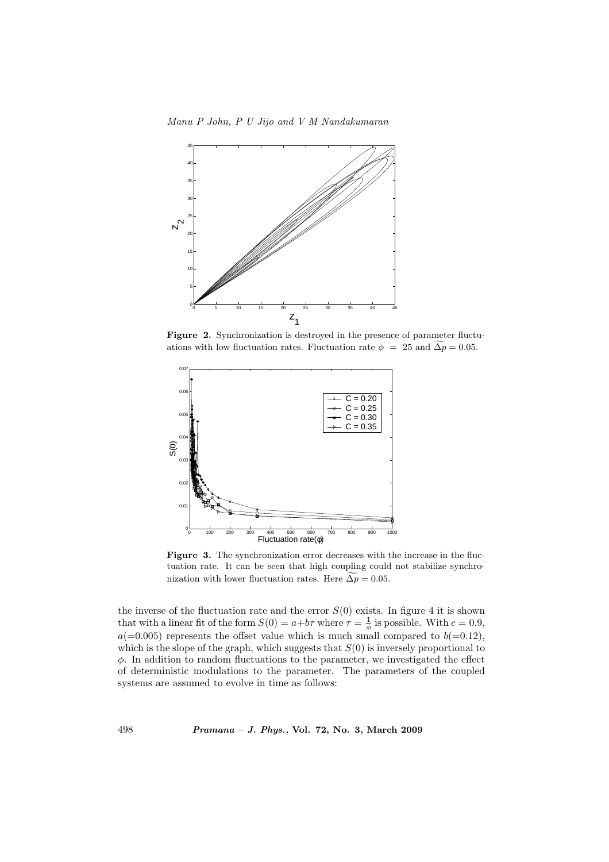Manu P John, P U Jijo and V M Nandakumaran



Figure 2. Synchronization is destroyed in the presence of parameter fluctuations with low fluctuation rates. Fluctuation rate  $\phi = 25$  and  $\Delta p = 0.05$ .



Figure 3. The synchronization error decreases with the increase in the fluctuation rate. It can be seen that high coupling could not stabilize synchronization with lower fluctuation rates. Here  $\widetilde{\Delta p} = 0.05$ .

the inverse of the fluctuation rate and the error  $S(0)$  exists. In figure 4 it is shown that with a linear fit of the form  $S(0) = a+b\tau$  where  $\tau = \frac{1}{\phi}$  is possible. With  $c = 0.9$ ,  $a(=0.005)$  represents the offset value which is much small compared to  $b(=0.12)$ , which is the slope of the graph, which suggests that  $S(0)$  is inversely proportional to  $\phi$ . In addition to random fluctuations to the parameter, we investigated the effect of deterministic modulations to the parameter. The parameters of the coupled systems are assumed to evolve in time as follows:

498 Pramana – J. Phys., Vol. 72, No. 3, March 2009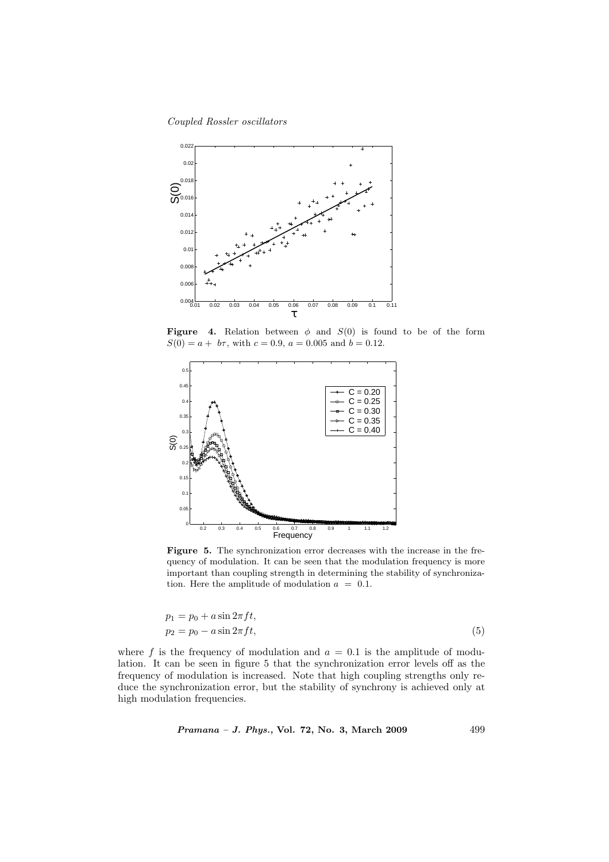Coupled Rossler oscillators



Figure 4. Relation between  $\phi$  and  $S(0)$  is found to be of the form  $S(0) = a + b\tau$ , with  $c = 0.9$ ,  $a = 0.005$  and  $b = 0.12$ .



Figure 5. The synchronization error decreases with the increase in the frequency of modulation. It can be seen that the modulation frequency is more important than coupling strength in determining the stability of synchronization. Here the amplitude of modulation  $a = 0.1$ .

$$
p_1 = p_0 + a\sin 2\pi ft,
$$
  
\n
$$
p_2 = p_0 - a\sin 2\pi ft,
$$
\n(5)

where f is the frequency of modulation and  $a = 0.1$  is the amplitude of modulation. It can be seen in figure 5 that the synchronization error levels off as the frequency of modulation is increased. Note that high coupling strengths only reduce the synchronization error, but the stability of synchrony is achieved only at high modulation frequencies.

Pramana – J. Phys., Vol. 72, No. 3, March 2009 499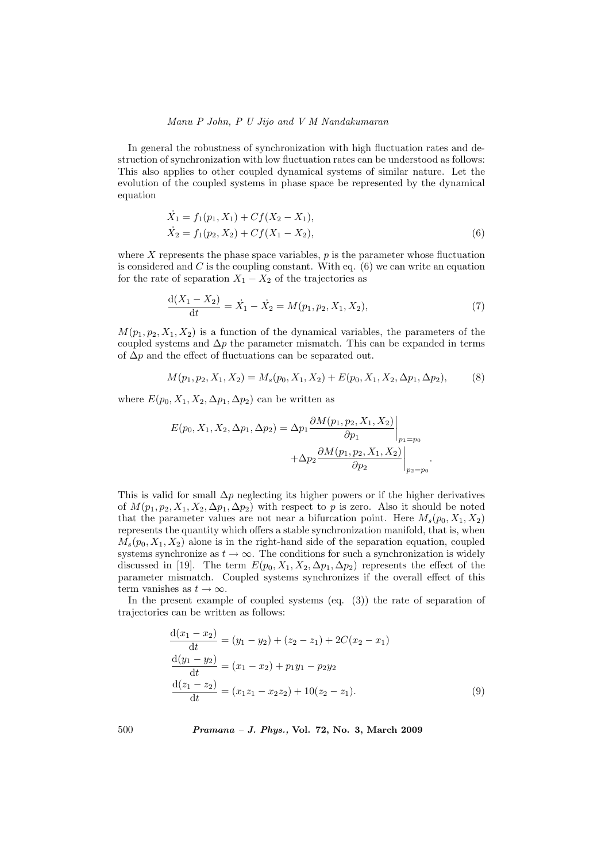## Manu P John, P U Jijo and V M Nandakumaran

In general the robustness of synchronization with high fluctuation rates and destruction of synchronization with low fluctuation rates can be understood as follows: This also applies to other coupled dynamical systems of similar nature. Let the evolution of the coupled systems in phase space be represented by the dynamical equation

$$
\begin{aligned} \dot{X}_1 &= f_1(p_1, X_1) + C f(X_2 - X_1), \\ \dot{X}_2 &= f_1(p_2, X_2) + C f(X_1 - X_2), \end{aligned} \tag{6}
$$

where  $X$  represents the phase space variables,  $p$  is the parameter whose fluctuation is considered and  $C$  is the coupling constant. With eq.  $(6)$  we can write an equation for the rate of separation  $X_1 - X_2$  of the trajectories as

$$
\frac{d(X_1 - X_2)}{dt} = \dot{X}_1 - \dot{X}_2 = M(p_1, p_2, X_1, X_2),\tag{7}
$$

 $M(p_1, p_2, X_1, X_2)$  is a function of the dynamical variables, the parameters of the coupled systems and  $\Delta p$  the parameter mismatch. This can be expanded in terms of  $\Delta p$  and the effect of fluctuations can be separated out.

$$
M(p_1, p_2, X_1, X_2) = M_s(p_0, X_1, X_2) + E(p_0, X_1, X_2, \Delta p_1, \Delta p_2),
$$
 (8)

where  $E(p_0, X_1, X_2, \Delta p_1, \Delta p_2)$  can be written as

$$
E(p_0, X_1, X_2, \Delta p_1, \Delta p_2) = \Delta p_1 \frac{\partial M(p_1, p_2, X_1, X_2)}{\partial p_1} \Big|_{p_1 = p_0} + \Delta p_2 \frac{\partial M(p_1, p_2, X_1, X_2)}{\partial p_2} \Big|_{p_2 = p_0}.
$$

This is valid for small  $\Delta p$  neglecting its higher powers or if the higher derivatives of  $M(p_1, p_2, X_1, X_2, \Delta p_1, \Delta p_2)$  with respect to p is zero. Also it should be noted that the parameter values are not near a bifurcation point. Here  $M_s(p_0, X_1, X_2)$ represents the quantity which offers a stable synchronization manifold, that is, when  $M_s(p_0, X_1, X_2)$  alone is in the right-hand side of the separation equation, coupled systems synchronize as  $t \to \infty$ . The conditions for such a synchronization is widely discussed in [19]. The term  $E(p_0, X_1, X_2, \Delta p_1, \Delta p_2)$  represents the effect of the parameter mismatch. Coupled systems synchronizes if the overall effect of this term vanishes as  $t \to \infty$ .

In the present example of coupled systems (eq. (3)) the rate of separation of trajectories can be written as follows:

$$
\frac{d(x_1 - x_2)}{dt} = (y_1 - y_2) + (z_2 - z_1) + 2C(x_2 - x_1)
$$
  
\n
$$
\frac{d(y_1 - y_2)}{dt} = (x_1 - x_2) + p_1y_1 - p_2y_2
$$
  
\n
$$
\frac{d(z_1 - z_2)}{dt} = (x_1z_1 - x_2z_2) + 10(z_2 - z_1).
$$
\n(9)

500 Pramana – J. Phys., Vol. 72, No. 3, March 2009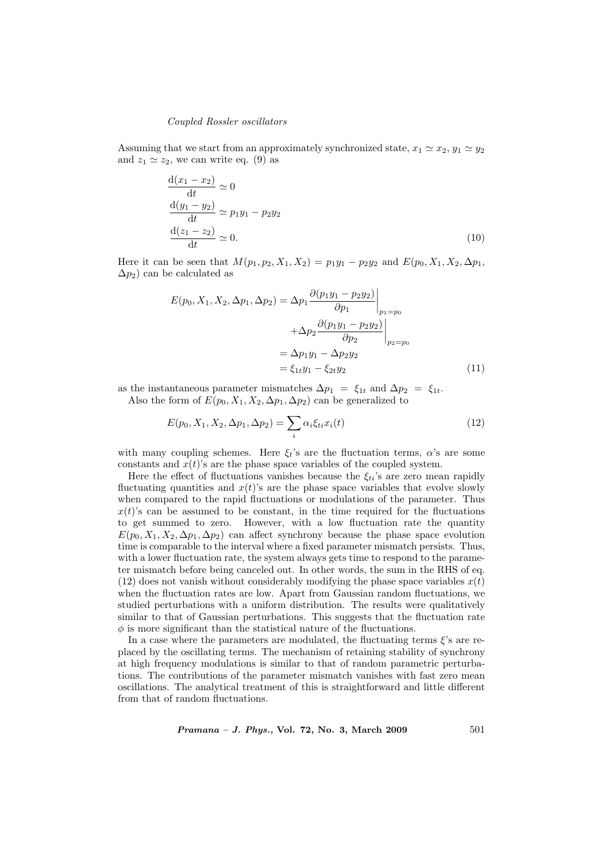#### Coupled Rossler oscillators

Assuming that we start from an approximately synchronized state,  $x_1 \simeq x_2, y_1 \simeq y_2$ and  $z_1 \simeq z_2$ , we can write eq. (9) as

$$
\frac{d(x_1 - x_2)}{dt} \simeq 0
$$
  

$$
\frac{d(y_1 - y_2)}{dt} \simeq p_1 y_1 - p_2 y_2
$$
  

$$
\frac{d(z_1 - z_2)}{dt} \simeq 0.
$$
 (10)

Here it can be seen that  $M(p_1, p_2, X_1, X_2) = p_1y_1 - p_2y_2$  and  $E(p_0, X_1, X_2, \Delta p_1,$  $\Delta p_2$ ) can be calculated as

$$
E(p_0, X_1, X_2, \Delta p_1, \Delta p_2) = \Delta p_1 \frac{\partial (p_1 y_1 - p_2 y_2)}{\partial p_1} \Big|_{p_1 = p_0} + \Delta p_2 \frac{\partial (p_1 y_1 - p_2 y_2)}{\partial p_2} \Big|_{p_2 = p_0} = \Delta p_1 y_1 - \Delta p_2 y_2 = \xi_{1t} y_1 - \xi_{2t} y_2
$$
 (11)

as the instantaneous parameter mismatches  $\Delta p_1 = \xi_{1t}$  and  $\Delta p_2 = \xi_{1t}$ . Also the form of  $E(p_0, X_1, X_2, \Delta p_1, \Delta p_2)$  can be generalized to

$$
E(p_0, X_1, X_2, \Delta p_1, \Delta p_2) = \sum_i \alpha_i \xi_{ti} x_i(t)
$$
\n(12)

with many coupling schemes. Here  $\xi_t$ 's are the fluctuation terms,  $\alpha$ 's are some constants and  $x(t)$ 's are the phase space variables of the coupled system.

Here the effect of fluctuations vanishes because the  $\xi_{ti}$ 's are zero mean rapidly fluctuating quantities and  $x(t)$ 's are the phase space variables that evolve slowly when compared to the rapid fluctuations or modulations of the parameter. Thus  $x(t)$ 's can be assumed to be constant, in the time required for the fluctuations to get summed to zero. However, with a low fluctuation rate the quantity  $E(p_0, X_1, X_2, \Delta p_1, \Delta p_2)$  can affect synchrony because the phase space evolution time is comparable to the interval where a fixed parameter mismatch persists. Thus, with a lower fluctuation rate, the system always gets time to respond to the parameter mismatch before being canceled out. In other words, the sum in the RHS of eq. (12) does not vanish without considerably modifying the phase space variables  $x(t)$ when the fluctuation rates are low. Apart from Gaussian random fluctuations, we studied perturbations with a uniform distribution. The results were qualitatively similar to that of Gaussian perturbations. This suggests that the fluctuation rate  $\phi$  is more significant than the statistical nature of the fluctuations.

In a case where the parameters are modulated, the fluctuating terms  $\xi$ 's are replaced by the oscillating terms. The mechanism of retaining stability of synchrony at high frequency modulations is similar to that of random parametric perturbations. The contributions of the parameter mismatch vanishes with fast zero mean oscillations. The analytical treatment of this is straightforward and little different from that of random fluctuations.

*Pramana – J. Phys.*, Vol. 72, No. 3, March 2009  $501$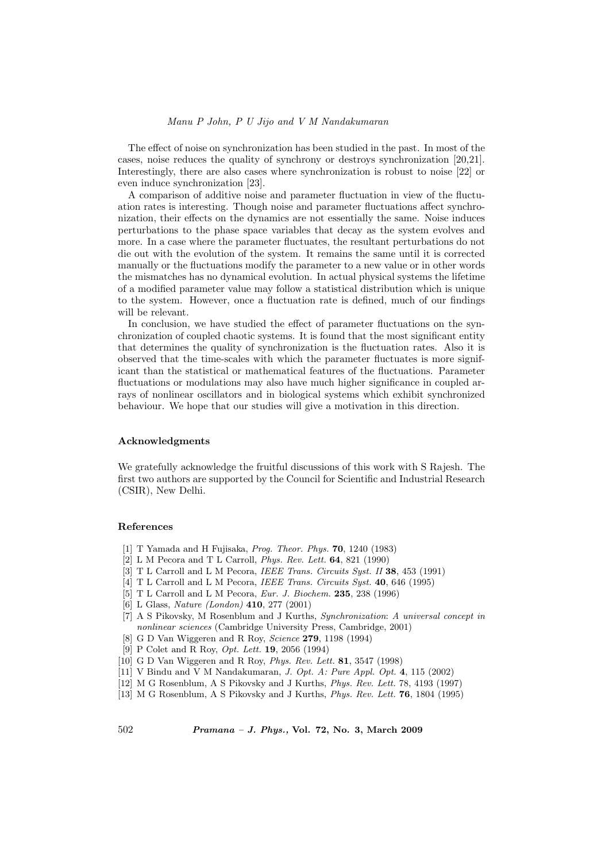#### Manu P John, P U Jijo and V M Nandakumaran

The effect of noise on synchronization has been studied in the past. In most of the cases, noise reduces the quality of synchrony or destroys synchronization [20,21]. Interestingly, there are also cases where synchronization is robust to noise [22] or even induce synchronization [23].

A comparison of additive noise and parameter fluctuation in view of the fluctuation rates is interesting. Though noise and parameter fluctuations affect synchronization, their effects on the dynamics are not essentially the same. Noise induces perturbations to the phase space variables that decay as the system evolves and more. In a case where the parameter fluctuates, the resultant perturbations do not die out with the evolution of the system. It remains the same until it is corrected manually or the fluctuations modify the parameter to a new value or in other words the mismatches has no dynamical evolution. In actual physical systems the lifetime of a modified parameter value may follow a statistical distribution which is unique to the system. However, once a fluctuation rate is defined, much of our findings will be relevant.

In conclusion, we have studied the effect of parameter fluctuations on the synchronization of coupled chaotic systems. It is found that the most significant entity that determines the quality of synchronization is the fluctuation rates. Also it is observed that the time-scales with which the parameter fluctuates is more significant than the statistical or mathematical features of the fluctuations. Parameter fluctuations or modulations may also have much higher significance in coupled arrays of nonlinear oscillators and in biological systems which exhibit synchronized behaviour. We hope that our studies will give a motivation in this direction.

## Acknowledgments

We gratefully acknowledge the fruitful discussions of this work with S Rajesh. The first two authors are supported by the Council for Scientific and Industrial Research (CSIR), New Delhi.

#### References

- [1] T Yamada and H Fujisaka, Prog. Theor. Phys. 70, 1240 (1983)
- [2] L M Pecora and T L Carroll, Phys. Rev. Lett. 64, 821 (1990)
- [3] T L Carroll and L M Pecora, IEEE Trans. Circuits Syst. II 38, 453 (1991)
- [4] T L Carroll and L M Pecora, IEEE Trans. Circuits Syst. 40, 646 (1995)
- [5] T L Carroll and L M Pecora, Eur. J. Biochem. 235, 238 (1996)
- [6] L Glass, Nature (London) 410, 277 (2001)
- [7] A S Pikovsky, M Rosenblum and J Kurths, Synchronization: A universal concept in nonlinear sciences (Cambridge University Press, Cambridge, 2001)
- [8] G D Van Wiggeren and R Roy, Science 279, 1198 (1994)
- [9] P Colet and R Roy, *Opt. Lett.* **19**, 2056 (1994)
- [10] G D Van Wiggeren and R Roy, Phys. Rev. Lett. 81, 3547 (1998)
- [11] V Bindu and V M Nandakumaran, J. Opt. A: Pure Appl. Opt. 4, 115 (2002)
- [12] M G Rosenblum, A S Pikovsky and J Kurths, Phys. Rev. Lett. 78, 4193 (1997)
- [13] M G Rosenblum, A S Pikovsky and J Kurths, Phys. Rev. Lett. 76, 1804 (1995)